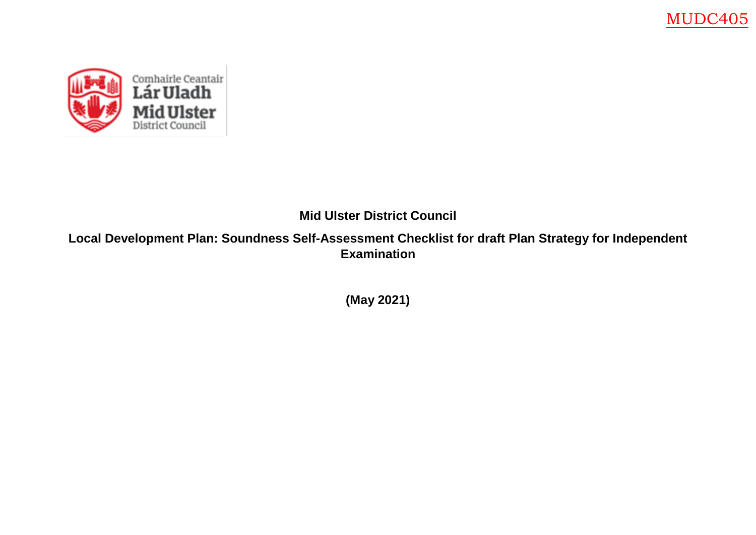

**Mid Ulster District Council**

**Local Development Plan: Soundness Self-Assessment Checklist for draft Plan Strategy for Independent Examination** 

**(May 2021)**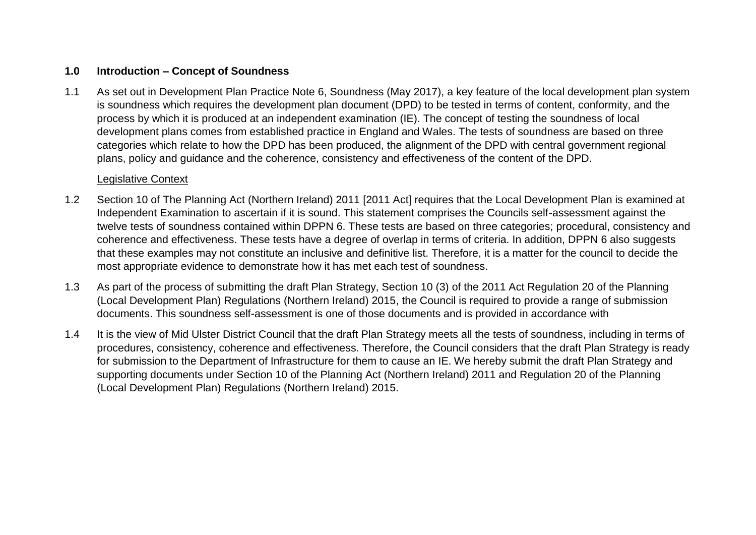#### **1.0 Introduction – Concept of Soundness**

1.1 As set out in Development Plan Practice Note 6, Soundness (May 2017), a key feature of the local development plan system is soundness which requires the development plan document (DPD) to be tested in terms of content, conformity, and the process by which it is produced at an independent examination (IE). The concept of testing the soundness of local development plans comes from established practice in England and Wales. The tests of soundness are based on three categories which relate to how the DPD has been produced, the alignment of the DPD with central government regional plans, policy and guidance and the coherence, consistency and effectiveness of the content of the DPD.

#### Legislative Context

- 1.2 Section 10 of The Planning Act (Northern Ireland) 2011 [2011 Act] requires that the Local Development Plan is examined at Independent Examination to ascertain if it is sound. This statement comprises the Councils self-assessment against the twelve tests of soundness contained within DPPN 6. These tests are based on three categories; procedural, consistency and coherence and effectiveness. These tests have a degree of overlap in terms of criteria. In addition, DPPN 6 also suggests that these examples may not constitute an inclusive and definitive list. Therefore, it is a matter for the council to decide the most appropriate evidence to demonstrate how it has met each test of soundness.
- 1.3 As part of the process of submitting the draft Plan Strategy, Section 10 (3) of the 2011 Act Regulation 20 of the Planning (Local Development Plan) Regulations (Northern Ireland) 2015, the Council is required to provide a range of submission documents. This soundness self-assessment is one of those documents and is provided in accordance with
- 1.4 It is the view of Mid Ulster District Council that the draft Plan Strategy meets all the tests of soundness, including in terms of procedures, consistency, coherence and effectiveness. Therefore, the Council considers that the draft Plan Strategy is ready for submission to the Department of Infrastructure for them to cause an IE. We hereby submit the draft Plan Strategy and supporting documents under Section 10 of the Planning Act (Northern Ireland) 2011 and Regulation 20 of the Planning (Local Development Plan) Regulations (Northern Ireland) 2015.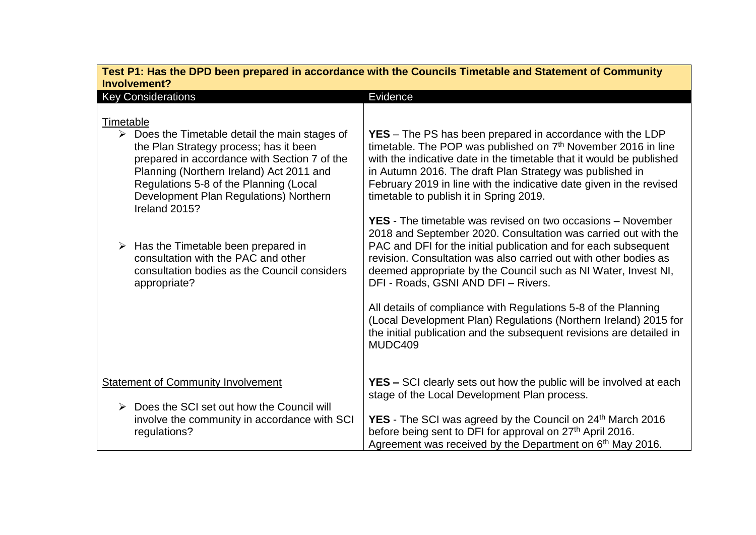| Test P1: Has the DPD been prepared in accordance with the Councils Timetable and Statement of Community<br>Involvement?                                                                                                                                                                                               |                                                                                                                                                                                                                                                                                                                                                                                                                                                                                                                                                                                                               |
|-----------------------------------------------------------------------------------------------------------------------------------------------------------------------------------------------------------------------------------------------------------------------------------------------------------------------|---------------------------------------------------------------------------------------------------------------------------------------------------------------------------------------------------------------------------------------------------------------------------------------------------------------------------------------------------------------------------------------------------------------------------------------------------------------------------------------------------------------------------------------------------------------------------------------------------------------|
| <b>Key Considerations</b>                                                                                                                                                                                                                                                                                             | Evidence                                                                                                                                                                                                                                                                                                                                                                                                                                                                                                                                                                                                      |
| Timetable<br>$\triangleright$ Does the Timetable detail the main stages of<br>the Plan Strategy process; has it been<br>prepared in accordance with Section 7 of the<br>Planning (Northern Ireland) Act 2011 and<br>Regulations 5-8 of the Planning (Local<br>Development Plan Regulations) Northern<br>Ireland 2015? | <b>YES</b> – The PS has been prepared in accordance with the LDP<br>timetable. The POP was published on 7 <sup>th</sup> November 2016 in line<br>with the indicative date in the timetable that it would be published<br>in Autumn 2016. The draft Plan Strategy was published in<br>February 2019 in line with the indicative date given in the revised<br>timetable to publish it in Spring 2019.                                                                                                                                                                                                           |
| $\triangleright$ Has the Timetable been prepared in<br>consultation with the PAC and other<br>consultation bodies as the Council considers<br>appropriate?                                                                                                                                                            | <b>YES</b> - The timetable was revised on two occasions – November<br>2018 and September 2020. Consultation was carried out with the<br>PAC and DFI for the initial publication and for each subsequent<br>revision. Consultation was also carried out with other bodies as<br>deemed appropriate by the Council such as NI Water, Invest NI,<br>DFI - Roads, GSNI AND DFI - Rivers.<br>All details of compliance with Regulations 5-8 of the Planning<br>(Local Development Plan) Regulations (Northern Ireland) 2015 for<br>the initial publication and the subsequent revisions are detailed in<br>MUDC409 |
| <b>Statement of Community Involvement</b><br>Does the SCI set out how the Council will<br>➤<br>involve the community in accordance with SCI<br>regulations?                                                                                                                                                           | <b>YES –</b> SCI clearly sets out how the public will be involved at each<br>stage of the Local Development Plan process.<br><b>YES</b> - The SCI was agreed by the Council on 24 <sup>th</sup> March 2016<br>before being sent to DFI for approval on 27 <sup>th</sup> April 2016.<br>Agreement was received by the Department on 6 <sup>th</sup> May 2016.                                                                                                                                                                                                                                                  |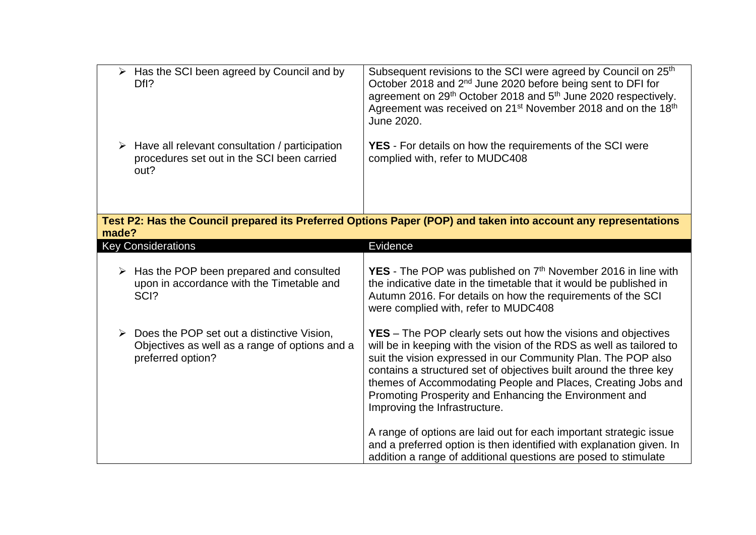|       | $\triangleright$ Has the SCI been agreed by Council and by<br>Dfl?                                                    | Subsequent revisions to the SCI were agreed by Council on 25 <sup>th</sup><br>October 2018 and 2 <sup>nd</sup> June 2020 before being sent to DFI for<br>agreement on 29 <sup>th</sup> October 2018 and 5 <sup>th</sup> June 2020 respectively.<br>Agreement was received on 21 <sup>st</sup> November 2018 and on the 18 <sup>th</sup><br>June 2020.                                                                                          |
|-------|-----------------------------------------------------------------------------------------------------------------------|------------------------------------------------------------------------------------------------------------------------------------------------------------------------------------------------------------------------------------------------------------------------------------------------------------------------------------------------------------------------------------------------------------------------------------------------|
|       | $\triangleright$ Have all relevant consultation / participation<br>procedures set out in the SCI been carried<br>out? | <b>YES</b> - For details on how the requirements of the SCI were<br>complied with, refer to MUDC408                                                                                                                                                                                                                                                                                                                                            |
| made? |                                                                                                                       | Test P2: Has the Council prepared its Preferred Options Paper (POP) and taken into account any representations                                                                                                                                                                                                                                                                                                                                 |
|       | <b>Key Considerations</b>                                                                                             | Evidence                                                                                                                                                                                                                                                                                                                                                                                                                                       |
|       | $\triangleright$ Has the POP been prepared and consulted<br>upon in accordance with the Timetable and<br>SCI?         | <b>YES</b> - The POP was published on $7th$ November 2016 in line with<br>the indicative date in the timetable that it would be published in<br>Autumn 2016. For details on how the requirements of the SCI<br>were complied with, refer to MUDC408                                                                                                                                                                                            |
|       | Does the POP set out a distinctive Vision,<br>Objectives as well as a range of options and a<br>preferred option?     | <b>YES</b> – The POP clearly sets out how the visions and objectives<br>will be in keeping with the vision of the RDS as well as tailored to<br>suit the vision expressed in our Community Plan. The POP also<br>contains a structured set of objectives built around the three key<br>themes of Accommodating People and Places, Creating Jobs and<br>Promoting Prosperity and Enhancing the Environment and<br>Improving the Infrastructure. |
|       |                                                                                                                       | A range of options are laid out for each important strategic issue<br>and a preferred option is then identified with explanation given. In<br>addition a range of additional questions are posed to stimulate                                                                                                                                                                                                                                  |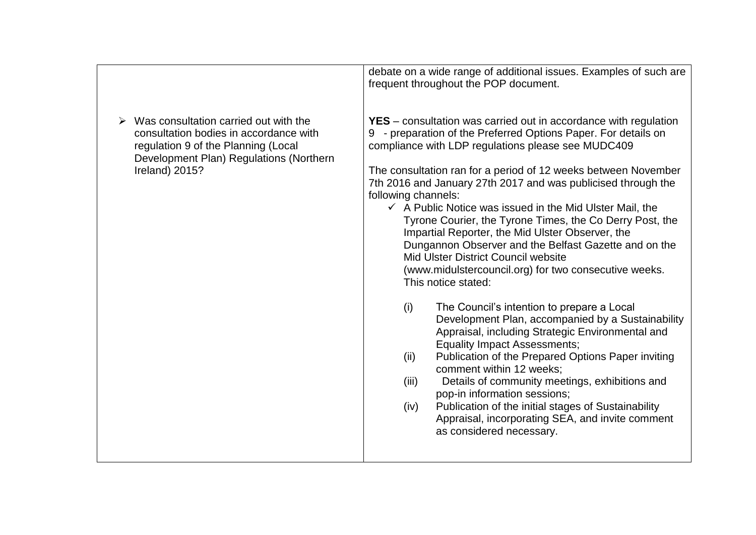|                                                                                                                                                                                     | debate on a wide range of additional issues. Examples of such are<br>frequent throughout the POP document.                                                                                                                                                                                                                                                                                                                                                                                                                                                                                                                                                                                                                                                                                                                                                                                                                                                                                                                                                                                                                                                                                                                                                                |
|-------------------------------------------------------------------------------------------------------------------------------------------------------------------------------------|---------------------------------------------------------------------------------------------------------------------------------------------------------------------------------------------------------------------------------------------------------------------------------------------------------------------------------------------------------------------------------------------------------------------------------------------------------------------------------------------------------------------------------------------------------------------------------------------------------------------------------------------------------------------------------------------------------------------------------------------------------------------------------------------------------------------------------------------------------------------------------------------------------------------------------------------------------------------------------------------------------------------------------------------------------------------------------------------------------------------------------------------------------------------------------------------------------------------------------------------------------------------------|
| Was consultation carried out with the<br>consultation bodies in accordance with<br>regulation 9 of the Planning (Local<br>Development Plan) Regulations (Northern<br>Ireland) 2015? | <b>YES</b> – consultation was carried out in accordance with regulation<br>9 - preparation of the Preferred Options Paper. For details on<br>compliance with LDP regulations please see MUDC409<br>The consultation ran for a period of 12 weeks between November<br>7th 2016 and January 27th 2017 and was publicised through the<br>following channels:<br>$\checkmark$ A Public Notice was issued in the Mid Ulster Mail, the<br>Tyrone Courier, the Tyrone Times, the Co Derry Post, the<br>Impartial Reporter, the Mid Ulster Observer, the<br>Dungannon Observer and the Belfast Gazette and on the<br>Mid Ulster District Council website<br>(www.midulstercouncil.org) for two consecutive weeks.<br>This notice stated:<br>The Council's intention to prepare a Local<br>(i)<br>Development Plan, accompanied by a Sustainability<br>Appraisal, including Strategic Environmental and<br><b>Equality Impact Assessments;</b><br>Publication of the Prepared Options Paper inviting<br>(ii)<br>comment within 12 weeks;<br>Details of community meetings, exhibitions and<br>(iii)<br>pop-in information sessions;<br>Publication of the initial stages of Sustainability<br>(iv)<br>Appraisal, incorporating SEA, and invite comment<br>as considered necessary. |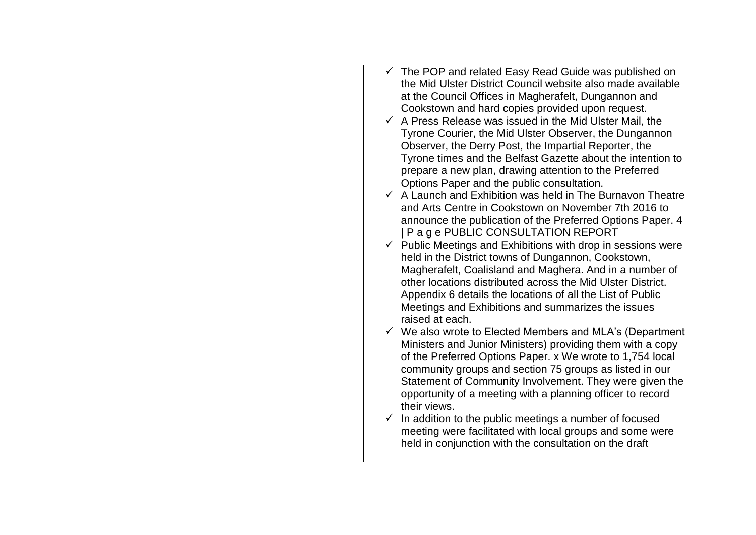| $\checkmark$ The POP and related Easy Read Guide was published on<br>the Mid Ulster District Council website also made available<br>at the Council Offices in Magherafelt, Dungannon and<br>Cookstown and hard copies provided upon request.<br>$\checkmark$ A Press Release was issued in the Mid Ulster Mail, the<br>Tyrone Courier, the Mid Ulster Observer, the Dungannon<br>Observer, the Derry Post, the Impartial Reporter, the<br>Tyrone times and the Belfast Gazette about the intention to<br>prepare a new plan, drawing attention to the Preferred<br>Options Paper and the public consultation.<br>$\checkmark$ A Launch and Exhibition was held in The Burnavon Theatre<br>and Arts Centre in Cookstown on November 7th 2016 to<br>announce the publication of the Preferred Options Paper. 4<br>  P a g e PUBLIC CONSULTATION REPORT<br>$\checkmark$ Public Meetings and Exhibitions with drop in sessions were<br>held in the District towns of Dungannon, Cookstown,<br>Magherafelt, Coalisland and Maghera. And in a number of<br>other locations distributed across the Mid Ulster District.<br>Appendix 6 details the locations of all the List of Public<br>Meetings and Exhibitions and summarizes the issues<br>raised at each.<br>$\checkmark$ We also wrote to Elected Members and MLA's (Department<br>Ministers and Junior Ministers) providing them with a copy<br>of the Preferred Options Paper. x We wrote to 1,754 local<br>community groups and section 75 groups as listed in our<br>Statement of Community Involvement. They were given the<br>opportunity of a meeting with a planning officer to record<br>their views.<br>In addition to the public meetings a number of focused |
|-------------------------------------------------------------------------------------------------------------------------------------------------------------------------------------------------------------------------------------------------------------------------------------------------------------------------------------------------------------------------------------------------------------------------------------------------------------------------------------------------------------------------------------------------------------------------------------------------------------------------------------------------------------------------------------------------------------------------------------------------------------------------------------------------------------------------------------------------------------------------------------------------------------------------------------------------------------------------------------------------------------------------------------------------------------------------------------------------------------------------------------------------------------------------------------------------------------------------------------------------------------------------------------------------------------------------------------------------------------------------------------------------------------------------------------------------------------------------------------------------------------------------------------------------------------------------------------------------------------------------------------------------------------------------------------------------------------------------|
| meeting were facilitated with local groups and some were<br>held in conjunction with the consultation on the draft                                                                                                                                                                                                                                                                                                                                                                                                                                                                                                                                                                                                                                                                                                                                                                                                                                                                                                                                                                                                                                                                                                                                                                                                                                                                                                                                                                                                                                                                                                                                                                                                      |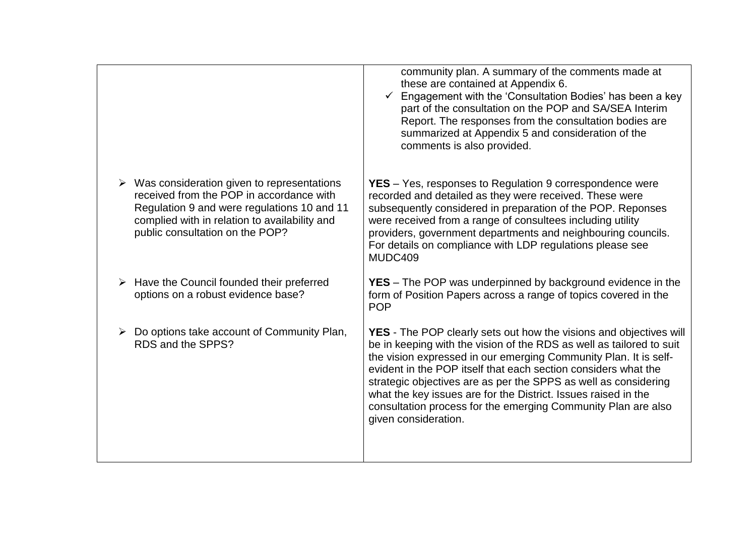|                                                                                                                                                                                                                                            | community plan. A summary of the comments made at<br>these are contained at Appendix 6.<br>Engagement with the 'Consultation Bodies' has been a key<br>part of the consultation on the POP and SA/SEA Interim<br>Report. The responses from the consultation bodies are<br>summarized at Appendix 5 and consideration of the<br>comments is also provided.                                                                                                                                                            |
|--------------------------------------------------------------------------------------------------------------------------------------------------------------------------------------------------------------------------------------------|-----------------------------------------------------------------------------------------------------------------------------------------------------------------------------------------------------------------------------------------------------------------------------------------------------------------------------------------------------------------------------------------------------------------------------------------------------------------------------------------------------------------------|
| $\triangleright$ Was consideration given to representations<br>received from the POP in accordance with<br>Regulation 9 and were regulations 10 and 11<br>complied with in relation to availability and<br>public consultation on the POP? | <b>YES</b> – Yes, responses to Regulation 9 correspondence were<br>recorded and detailed as they were received. These were<br>subsequently considered in preparation of the POP. Reponses<br>were received from a range of consultees including utility<br>providers, government departments and neighbouring councils.<br>For details on compliance with LDP regulations please see<br>MUDC409                                                                                                                       |
| Have the Council founded their preferred<br>options on a robust evidence base?                                                                                                                                                             | <b>YES</b> – The POP was underpinned by background evidence in the<br>form of Position Papers across a range of topics covered in the<br><b>POP</b>                                                                                                                                                                                                                                                                                                                                                                   |
| $\triangleright$ Do options take account of Community Plan,<br>RDS and the SPPS?                                                                                                                                                           | <b>YES</b> - The POP clearly sets out how the visions and objectives will<br>be in keeping with the vision of the RDS as well as tailored to suit<br>the vision expressed in our emerging Community Plan. It is self-<br>evident in the POP itself that each section considers what the<br>strategic objectives are as per the SPPS as well as considering<br>what the key issues are for the District. Issues raised in the<br>consultation process for the emerging Community Plan are also<br>given consideration. |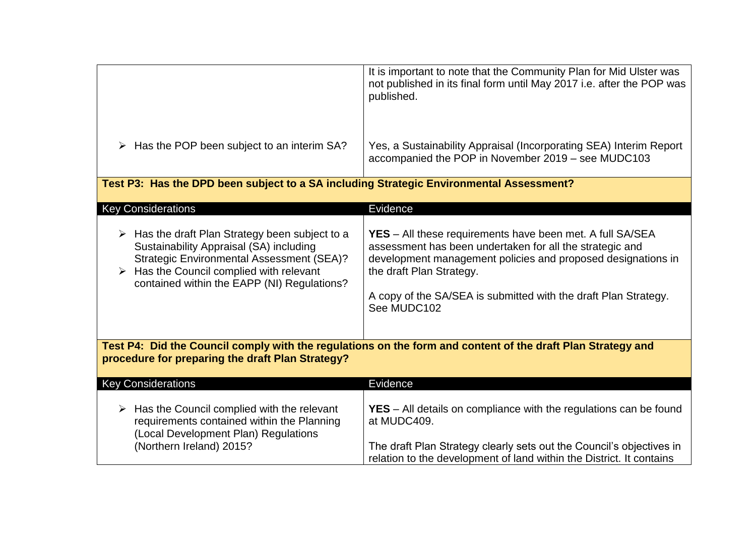|                                                                                                                                                                                                                                                                         | It is important to note that the Community Plan for Mid Ulster was<br>not published in its final form until May 2017 i.e. after the POP was<br>published.                                                                                                                                                  |  |
|-------------------------------------------------------------------------------------------------------------------------------------------------------------------------------------------------------------------------------------------------------------------------|------------------------------------------------------------------------------------------------------------------------------------------------------------------------------------------------------------------------------------------------------------------------------------------------------------|--|
| $\triangleright$ Has the POP been subject to an interim SA?                                                                                                                                                                                                             | Yes, a Sustainability Appraisal (Incorporating SEA) Interim Report<br>accompanied the POP in November 2019 - see MUDC103                                                                                                                                                                                   |  |
| Test P3: Has the DPD been subject to a SA including Strategic Environmental Assessment?                                                                                                                                                                                 |                                                                                                                                                                                                                                                                                                            |  |
| <b>Key Considerations</b>                                                                                                                                                                                                                                               | Evidence                                                                                                                                                                                                                                                                                                   |  |
| $\triangleright$ Has the draft Plan Strategy been subject to a<br>Sustainability Appraisal (SA) including<br><b>Strategic Environmental Assessment (SEA)?</b><br>$\triangleright$ Has the Council complied with relevant<br>contained within the EAPP (NI) Regulations? | <b>YES</b> - All these requirements have been met. A full SA/SEA<br>assessment has been undertaken for all the strategic and<br>development management policies and proposed designations in<br>the draft Plan Strategy.<br>A copy of the SA/SEA is submitted with the draft Plan Strategy.<br>See MUDC102 |  |
| Test P4: Did the Council comply with the regulations on the form and content of the draft Plan Strategy and<br>procedure for preparing the draft Plan Strategy?                                                                                                         |                                                                                                                                                                                                                                                                                                            |  |
| <b>Key Considerations</b>                                                                                                                                                                                                                                               | Evidence                                                                                                                                                                                                                                                                                                   |  |
| $\triangleright$ Has the Council complied with the relevant<br>requirements contained within the Planning<br>(Local Development Plan) Regulations<br>(Northern Ireland) 2015?                                                                                           | <b>YES</b> – All details on compliance with the regulations can be found<br>at MUDC409.<br>The draft Plan Strategy clearly sets out the Council's objectives in                                                                                                                                            |  |
|                                                                                                                                                                                                                                                                         | relation to the development of land within the District. It contains                                                                                                                                                                                                                                       |  |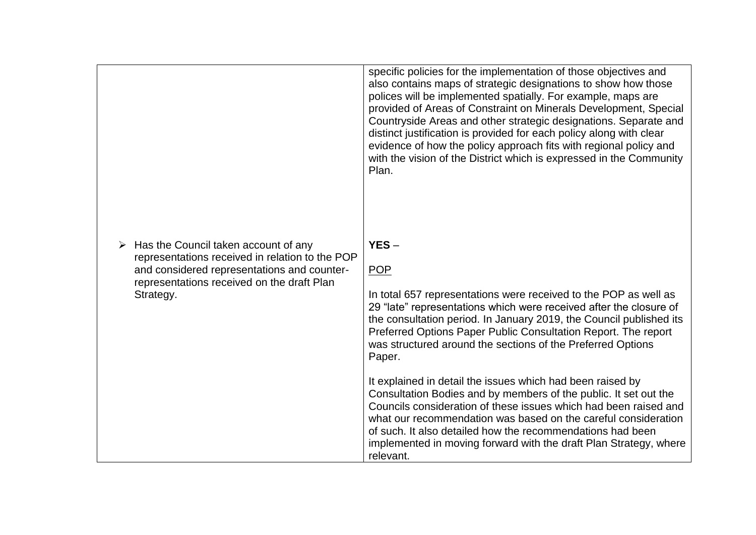|                                                                                                                                                                                                   | specific policies for the implementation of those objectives and<br>also contains maps of strategic designations to show how those<br>polices will be implemented spatially. For example, maps are<br>provided of Areas of Constraint on Minerals Development, Special<br>Countryside Areas and other strategic designations. Separate and<br>distinct justification is provided for each policy along with clear<br>evidence of how the policy approach fits with regional policy and<br>with the vision of the District which is expressed in the Community<br>Plan.                                                                                                                                                  |
|---------------------------------------------------------------------------------------------------------------------------------------------------------------------------------------------------|-------------------------------------------------------------------------------------------------------------------------------------------------------------------------------------------------------------------------------------------------------------------------------------------------------------------------------------------------------------------------------------------------------------------------------------------------------------------------------------------------------------------------------------------------------------------------------------------------------------------------------------------------------------------------------------------------------------------------|
| Has the Council taken account of any<br>representations received in relation to the POP<br>and considered representations and counter-<br>representations received on the draft Plan<br>Strategy. | $YES -$<br><b>POP</b><br>In total 657 representations were received to the POP as well as<br>29 "late" representations which were received after the closure of<br>the consultation period. In January 2019, the Council published its<br>Preferred Options Paper Public Consultation Report. The report<br>was structured around the sections of the Preferred Options<br>Paper.<br>It explained in detail the issues which had been raised by<br>Consultation Bodies and by members of the public. It set out the<br>Councils consideration of these issues which had been raised and<br>what our recommendation was based on the careful consideration<br>of such. It also detailed how the recommendations had been |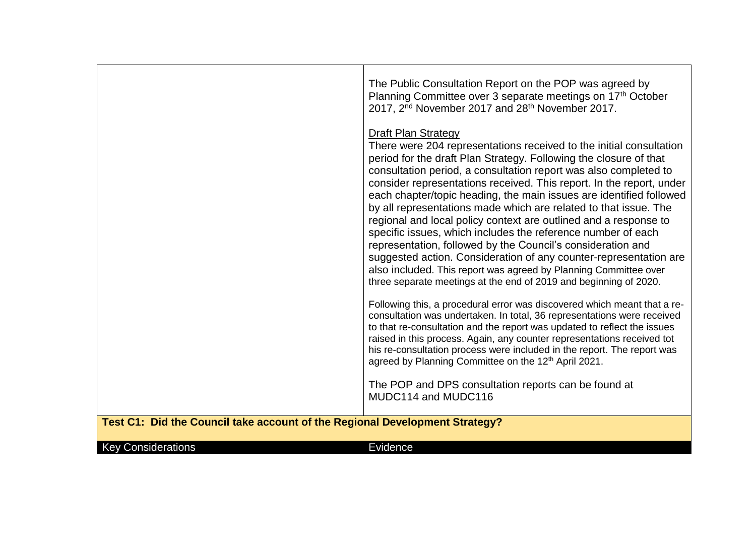|                                                                             | The Public Consultation Report on the POP was agreed by<br>Planning Committee over 3 separate meetings on 17 <sup>th</sup> October<br>2017, 2 <sup>nd</sup> November 2017 and 28 <sup>th</sup> November 2017.                                                                                                                                                                                                                                                                                                                                                                                                                                                                                                                                                                                                                                                                  |
|-----------------------------------------------------------------------------|--------------------------------------------------------------------------------------------------------------------------------------------------------------------------------------------------------------------------------------------------------------------------------------------------------------------------------------------------------------------------------------------------------------------------------------------------------------------------------------------------------------------------------------------------------------------------------------------------------------------------------------------------------------------------------------------------------------------------------------------------------------------------------------------------------------------------------------------------------------------------------|
|                                                                             | <b>Draft Plan Strategy</b><br>There were 204 representations received to the initial consultation<br>period for the draft Plan Strategy. Following the closure of that<br>consultation period, a consultation report was also completed to<br>consider representations received. This report. In the report, under<br>each chapter/topic heading, the main issues are identified followed<br>by all representations made which are related to that issue. The<br>regional and local policy context are outlined and a response to<br>specific issues, which includes the reference number of each<br>representation, followed by the Council's consideration and<br>suggested action. Consideration of any counter-representation are<br>also included. This report was agreed by Planning Committee over<br>three separate meetings at the end of 2019 and beginning of 2020. |
|                                                                             | Following this, a procedural error was discovered which meant that a re-<br>consultation was undertaken. In total, 36 representations were received<br>to that re-consultation and the report was updated to reflect the issues<br>raised in this process. Again, any counter representations received tot<br>his re-consultation process were included in the report. The report was<br>agreed by Planning Committee on the 12 <sup>th</sup> April 2021.                                                                                                                                                                                                                                                                                                                                                                                                                      |
|                                                                             | The POP and DPS consultation reports can be found at<br>MUDC114 and MUDC116                                                                                                                                                                                                                                                                                                                                                                                                                                                                                                                                                                                                                                                                                                                                                                                                    |
| Test C1: Did the Council take account of the Regional Development Strategy? |                                                                                                                                                                                                                                                                                                                                                                                                                                                                                                                                                                                                                                                                                                                                                                                                                                                                                |
| <b>Key Considerations</b>                                                   | <b>Evidence</b>                                                                                                                                                                                                                                                                                                                                                                                                                                                                                                                                                                                                                                                                                                                                                                                                                                                                |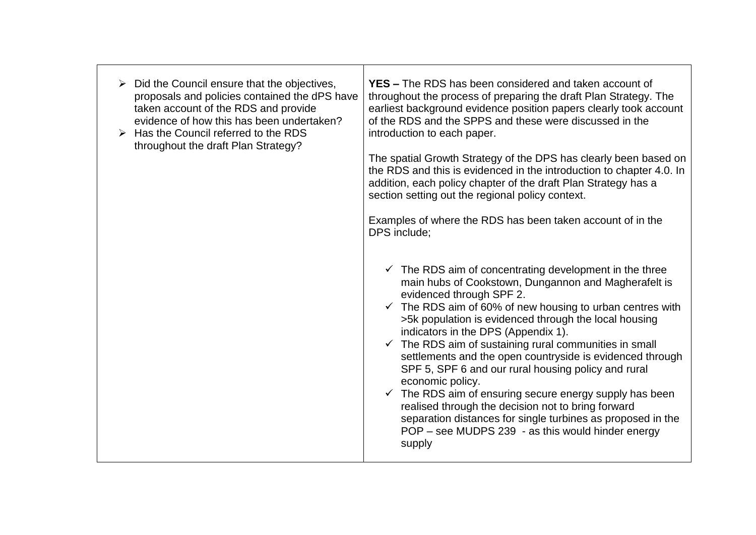| Did the Council ensure that the objectives,<br>proposals and policies contained the dPS have<br>taken account of the RDS and provide<br>evidence of how this has been undertaken?<br>$\triangleright$ Has the Council referred to the RDS<br>throughout the draft Plan Strategy? | <b>YES –</b> The RDS has been considered and taken account of<br>throughout the process of preparing the draft Plan Strategy. The<br>earliest background evidence position papers clearly took account<br>of the RDS and the SPPS and these were discussed in the<br>introduction to each paper.<br>The spatial Growth Strategy of the DPS has clearly been based on<br>the RDS and this is evidenced in the introduction to chapter 4.0. In<br>addition, each policy chapter of the draft Plan Strategy has a<br>section setting out the regional policy context.<br>Examples of where the RDS has been taken account of in the<br>DPS include:                                                                                                                                                      |
|----------------------------------------------------------------------------------------------------------------------------------------------------------------------------------------------------------------------------------------------------------------------------------|-------------------------------------------------------------------------------------------------------------------------------------------------------------------------------------------------------------------------------------------------------------------------------------------------------------------------------------------------------------------------------------------------------------------------------------------------------------------------------------------------------------------------------------------------------------------------------------------------------------------------------------------------------------------------------------------------------------------------------------------------------------------------------------------------------|
|                                                                                                                                                                                                                                                                                  | $\checkmark$ The RDS aim of concentrating development in the three<br>main hubs of Cookstown, Dungannon and Magherafelt is<br>evidenced through SPF 2.<br>$\checkmark$ The RDS aim of 60% of new housing to urban centres with<br>>5k population is evidenced through the local housing<br>indicators in the DPS (Appendix 1).<br>$\checkmark$ The RDS aim of sustaining rural communities in small<br>settlements and the open countryside is evidenced through<br>SPF 5, SPF 6 and our rural housing policy and rural<br>economic policy.<br>$\checkmark$ The RDS aim of ensuring secure energy supply has been<br>realised through the decision not to bring forward<br>separation distances for single turbines as proposed in the<br>POP – see MUDPS 239 - as this would hinder energy<br>supply |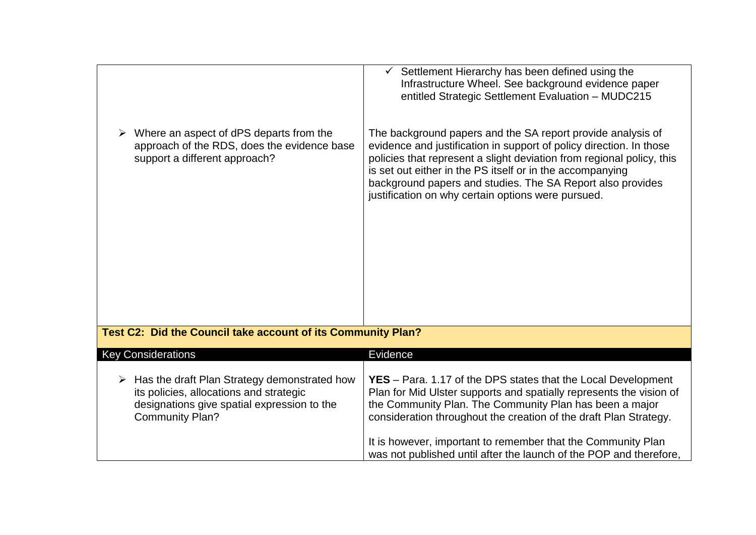| Where an aspect of dPS departs from the                                                                                                                                           | Settlement Hierarchy has been defined using the<br>Infrastructure Wheel. See background evidence paper<br>entitled Strategic Settlement Evaluation - MUDC215<br>The background papers and the SA report provide analysis of                                                                                                                                                                                |
|-----------------------------------------------------------------------------------------------------------------------------------------------------------------------------------|------------------------------------------------------------------------------------------------------------------------------------------------------------------------------------------------------------------------------------------------------------------------------------------------------------------------------------------------------------------------------------------------------------|
| approach of the RDS, does the evidence base<br>support a different approach?                                                                                                      | evidence and justification in support of policy direction. In those<br>policies that represent a slight deviation from regional policy, this<br>is set out either in the PS itself or in the accompanying<br>background papers and studies. The SA Report also provides<br>justification on why certain options were pursued.                                                                              |
| Test C2: Did the Council take account of its Community Plan?                                                                                                                      |                                                                                                                                                                                                                                                                                                                                                                                                            |
| <b>Key Considerations</b>                                                                                                                                                         | Evidence                                                                                                                                                                                                                                                                                                                                                                                                   |
| $\triangleright$ Has the draft Plan Strategy demonstrated how<br>its policies, allocations and strategic<br>designations give spatial expression to the<br><b>Community Plan?</b> | YES - Para. 1.17 of the DPS states that the Local Development<br>Plan for Mid Ulster supports and spatially represents the vision of<br>the Community Plan. The Community Plan has been a major<br>consideration throughout the creation of the draft Plan Strategy.<br>It is however, important to remember that the Community Plan<br>was not published until after the launch of the POP and therefore, |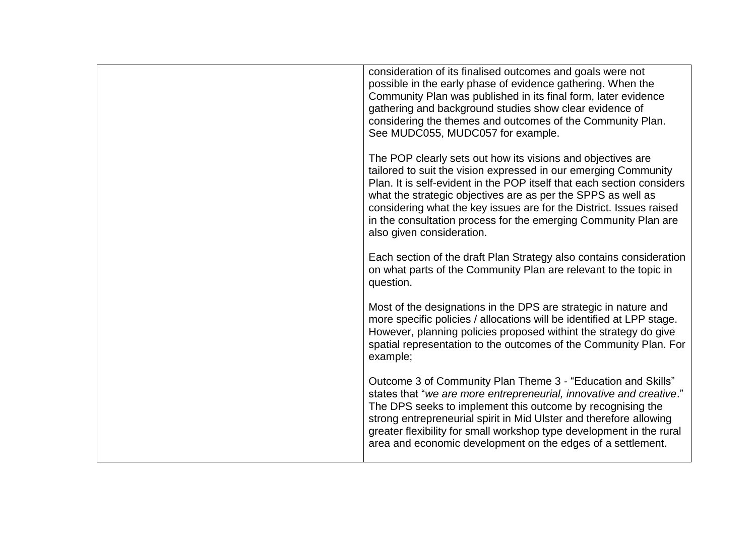| consideration of its finalised outcomes and goals were not<br>possible in the early phase of evidence gathering. When the<br>Community Plan was published in its final form, later evidence<br>gathering and background studies show clear evidence of<br>considering the themes and outcomes of the Community Plan.<br>See MUDC055, MUDC057 for example.                                                                                       |
|-------------------------------------------------------------------------------------------------------------------------------------------------------------------------------------------------------------------------------------------------------------------------------------------------------------------------------------------------------------------------------------------------------------------------------------------------|
| The POP clearly sets out how its visions and objectives are<br>tailored to suit the vision expressed in our emerging Community<br>Plan. It is self-evident in the POP itself that each section considers<br>what the strategic objectives are as per the SPPS as well as<br>considering what the key issues are for the District. Issues raised<br>in the consultation process for the emerging Community Plan are<br>also given consideration. |
| Each section of the draft Plan Strategy also contains consideration<br>on what parts of the Community Plan are relevant to the topic in<br>question.                                                                                                                                                                                                                                                                                            |
| Most of the designations in the DPS are strategic in nature and<br>more specific policies / allocations will be identified at LPP stage.<br>However, planning policies proposed withint the strategy do give<br>spatial representation to the outcomes of the Community Plan. For<br>example;                                                                                                                                                   |
| Outcome 3 of Community Plan Theme 3 - "Education and Skills"<br>states that "we are more entrepreneurial, innovative and creative."<br>The DPS seeks to implement this outcome by recognising the<br>strong entrepreneurial spirit in Mid Ulster and therefore allowing<br>greater flexibility for small workshop type development in the rural<br>area and economic development on the edges of a settlement.                                  |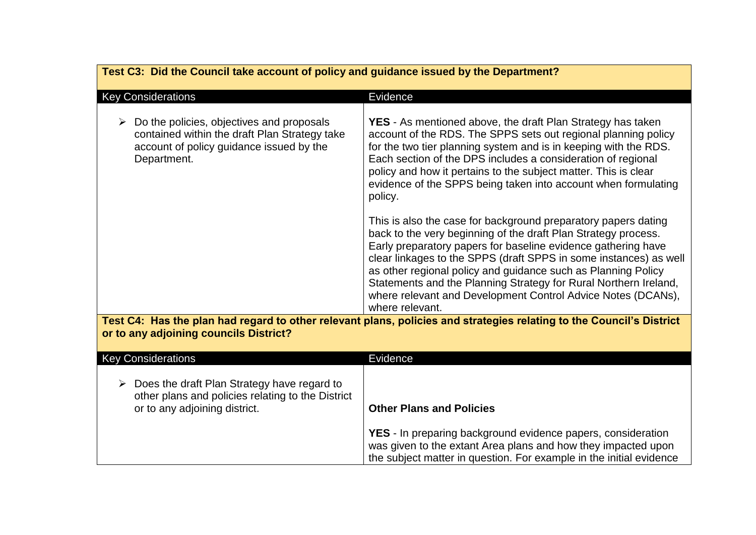| Test C3: Did the Council take account of policy and guidance issued by the Department?                                                                     |                                                                                                                                                                                                                                                                                                                                                                                                                                                                                                |
|------------------------------------------------------------------------------------------------------------------------------------------------------------|------------------------------------------------------------------------------------------------------------------------------------------------------------------------------------------------------------------------------------------------------------------------------------------------------------------------------------------------------------------------------------------------------------------------------------------------------------------------------------------------|
| <b>Key Considerations</b>                                                                                                                                  | Evidence                                                                                                                                                                                                                                                                                                                                                                                                                                                                                       |
| Do the policies, objectives and proposals<br>➤<br>contained within the draft Plan Strategy take<br>account of policy guidance issued by the<br>Department. | <b>YES</b> - As mentioned above, the draft Plan Strategy has taken<br>account of the RDS. The SPPS sets out regional planning policy<br>for the two tier planning system and is in keeping with the RDS.<br>Each section of the DPS includes a consideration of regional<br>policy and how it pertains to the subject matter. This is clear<br>evidence of the SPPS being taken into account when formulating<br>policy.                                                                       |
|                                                                                                                                                            | This is also the case for background preparatory papers dating<br>back to the very beginning of the draft Plan Strategy process.<br>Early preparatory papers for baseline evidence gathering have<br>clear linkages to the SPPS (draft SPPS in some instances) as well<br>as other regional policy and guidance such as Planning Policy<br>Statements and the Planning Strategy for Rural Northern Ireland,<br>where relevant and Development Control Advice Notes (DCANs),<br>where relevant. |
| or to any adjoining councils District?                                                                                                                     | Test C4: Has the plan had regard to other relevant plans, policies and strategies relating to the Council's District                                                                                                                                                                                                                                                                                                                                                                           |
| <b>Key Considerations</b>                                                                                                                                  | Evidence                                                                                                                                                                                                                                                                                                                                                                                                                                                                                       |
| $\triangleright$ Does the draft Plan Strategy have regard to<br>other plans and policies relating to the District<br>or to any adjoining district.         | <b>Other Plans and Policies</b><br><b>YES</b> - In preparing background evidence papers, consideration<br>was given to the extant Area plans and how they impacted upon<br>the subject matter in question. For example in the initial evidence                                                                                                                                                                                                                                                 |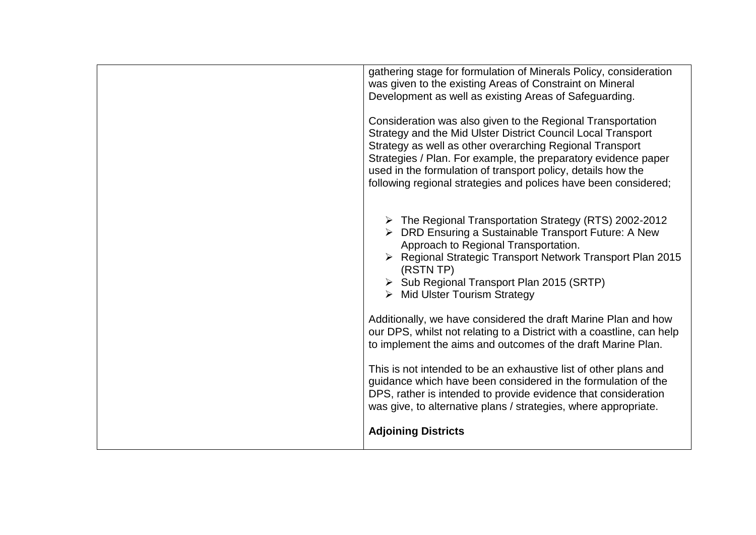| gathering stage for formulation of Minerals Policy, consideration<br>was given to the existing Areas of Constraint on Mineral<br>Development as well as existing Areas of Safeguarding.<br>Consideration was also given to the Regional Transportation<br>Strategy and the Mid Ulster District Council Local Transport<br>Strategy as well as other overarching Regional Transport<br>Strategies / Plan. For example, the preparatory evidence paper<br>used in the formulation of transport policy, details how the<br>following regional strategies and polices have been considered; |
|-----------------------------------------------------------------------------------------------------------------------------------------------------------------------------------------------------------------------------------------------------------------------------------------------------------------------------------------------------------------------------------------------------------------------------------------------------------------------------------------------------------------------------------------------------------------------------------------|
| > The Regional Transportation Strategy (RTS) 2002-2012<br>> DRD Ensuring a Sustainable Transport Future: A New<br>Approach to Regional Transportation.<br>▶ Regional Strategic Transport Network Transport Plan 2015<br>(RSTN TP)<br>Sub Regional Transport Plan 2015 (SRTP)<br>$\triangleright$ Mid Ulster Tourism Strategy                                                                                                                                                                                                                                                            |
| Additionally, we have considered the draft Marine Plan and how<br>our DPS, whilst not relating to a District with a coastline, can help<br>to implement the aims and outcomes of the draft Marine Plan.<br>This is not intended to be an exhaustive list of other plans and<br>guidance which have been considered in the formulation of the<br>DPS, rather is intended to provide evidence that consideration<br>was give, to alternative plans / strategies, where appropriate.                                                                                                       |
| <b>Adjoining Districts</b>                                                                                                                                                                                                                                                                                                                                                                                                                                                                                                                                                              |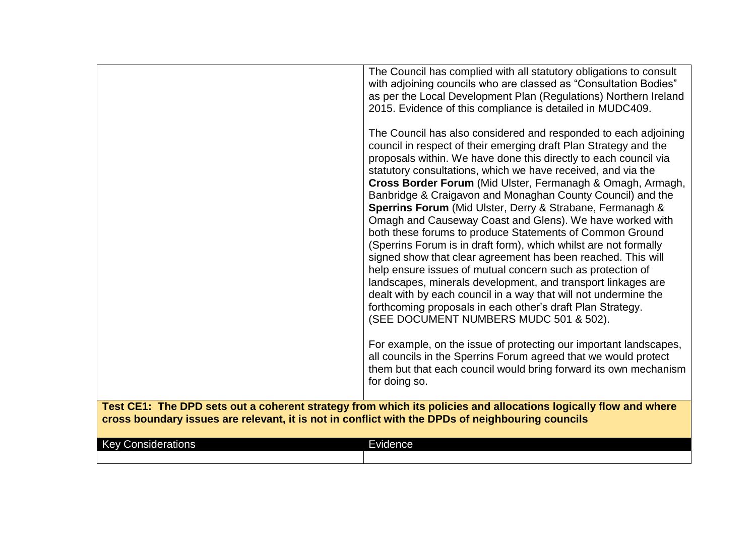|                                                                                                                                                                                                                     | The Council has complied with all statutory obligations to consult<br>with adjoining councils who are classed as "Consultation Bodies"<br>as per the Local Development Plan (Regulations) Northern Ireland<br>2015. Evidence of this compliance is detailed in MUDC409.<br>The Council has also considered and responded to each adjoining<br>council in respect of their emerging draft Plan Strategy and the<br>proposals within. We have done this directly to each council via<br>statutory consultations, which we have received, and via the<br>Cross Border Forum (Mid Ulster, Fermanagh & Omagh, Armagh,<br>Banbridge & Craigavon and Monaghan County Council) and the<br>Sperrins Forum (Mid Ulster, Derry & Strabane, Fermanagh &<br>Omagh and Causeway Coast and Glens). We have worked with<br>both these forums to produce Statements of Common Ground<br>(Sperrins Forum is in draft form), which whilst are not formally<br>signed show that clear agreement has been reached. This will<br>help ensure issues of mutual concern such as protection of<br>landscapes, minerals development, and transport linkages are<br>dealt with by each council in a way that will not undermine the<br>forthcoming proposals in each other's draft Plan Strategy.<br>(SEE DOCUMENT NUMBERS MUDC 501 & 502).<br>For example, on the issue of protecting our important landscapes,<br>all councils in the Sperrins Forum agreed that we would protect<br>them but that each council would bring forward its own mechanism<br>for doing so. |
|---------------------------------------------------------------------------------------------------------------------------------------------------------------------------------------------------------------------|-----------------------------------------------------------------------------------------------------------------------------------------------------------------------------------------------------------------------------------------------------------------------------------------------------------------------------------------------------------------------------------------------------------------------------------------------------------------------------------------------------------------------------------------------------------------------------------------------------------------------------------------------------------------------------------------------------------------------------------------------------------------------------------------------------------------------------------------------------------------------------------------------------------------------------------------------------------------------------------------------------------------------------------------------------------------------------------------------------------------------------------------------------------------------------------------------------------------------------------------------------------------------------------------------------------------------------------------------------------------------------------------------------------------------------------------------------------------------------------------------------------------------------------------------|
| Test CE1: The DPD sets out a coherent strategy from which its policies and allocations logically flow and where<br>cross boundary issues are relevant, it is not in conflict with the DPDs of neighbouring councils |                                                                                                                                                                                                                                                                                                                                                                                                                                                                                                                                                                                                                                                                                                                                                                                                                                                                                                                                                                                                                                                                                                                                                                                                                                                                                                                                                                                                                                                                                                                                               |
| <b>Key Considerations</b>                                                                                                                                                                                           | Evidence                                                                                                                                                                                                                                                                                                                                                                                                                                                                                                                                                                                                                                                                                                                                                                                                                                                                                                                                                                                                                                                                                                                                                                                                                                                                                                                                                                                                                                                                                                                                      |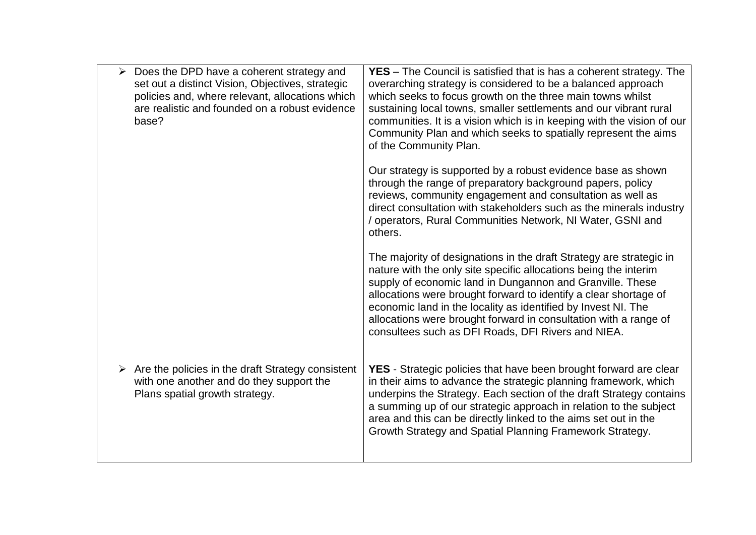| Does the DPD have a coherent strategy and<br>set out a distinct Vision, Objectives, strategic<br>policies and, where relevant, allocations which<br>are realistic and founded on a robust evidence<br>base? | <b>YES</b> – The Council is satisfied that is has a coherent strategy. The<br>overarching strategy is considered to be a balanced approach<br>which seeks to focus growth on the three main towns whilst<br>sustaining local towns, smaller settlements and our vibrant rural<br>communities. It is a vision which is in keeping with the vision of our<br>Community Plan and which seeks to spatially represent the aims<br>of the Community Plan.                 |
|-------------------------------------------------------------------------------------------------------------------------------------------------------------------------------------------------------------|---------------------------------------------------------------------------------------------------------------------------------------------------------------------------------------------------------------------------------------------------------------------------------------------------------------------------------------------------------------------------------------------------------------------------------------------------------------------|
|                                                                                                                                                                                                             | Our strategy is supported by a robust evidence base as shown<br>through the range of preparatory background papers, policy<br>reviews, community engagement and consultation as well as<br>direct consultation with stakeholders such as the minerals industry<br>/ operators, Rural Communities Network, NI Water, GSNI and<br>others.                                                                                                                             |
|                                                                                                                                                                                                             | The majority of designations in the draft Strategy are strategic in<br>nature with the only site specific allocations being the interim<br>supply of economic land in Dungannon and Granville. These<br>allocations were brought forward to identify a clear shortage of<br>economic land in the locality as identified by Invest NI. The<br>allocations were brought forward in consultation with a range of<br>consultees such as DFI Roads, DFI Rivers and NIEA. |
| $\triangleright$ Are the policies in the draft Strategy consistent<br>with one another and do they support the<br>Plans spatial growth strategy.                                                            | <b>YES</b> - Strategic policies that have been brought forward are clear<br>in their aims to advance the strategic planning framework, which<br>underpins the Strategy. Each section of the draft Strategy contains<br>a summing up of our strategic approach in relation to the subject<br>area and this can be directly linked to the aims set out in the<br>Growth Strategy and Spatial Planning Framework Strategy.                                             |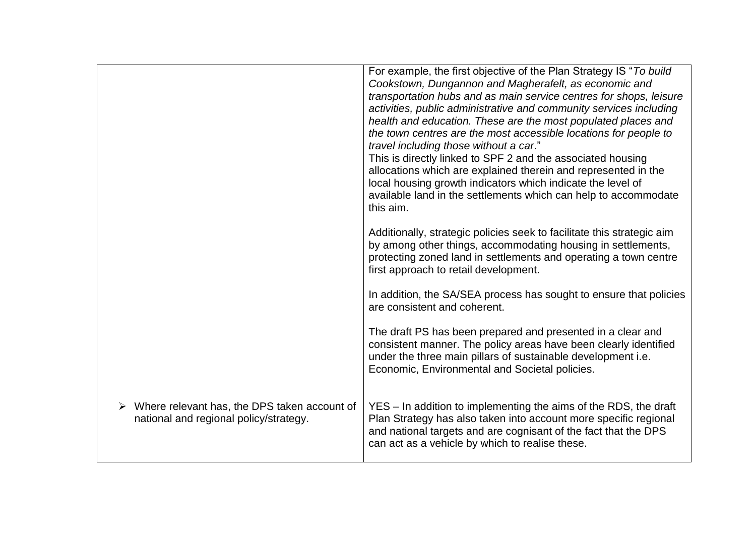|                                                                                        | For example, the first objective of the Plan Strategy IS "To build<br>Cookstown, Dungannon and Magherafelt, as economic and<br>transportation hubs and as main service centres for shops, leisure<br>activities, public administrative and community services including<br>health and education. These are the most populated places and<br>the town centres are the most accessible locations for people to<br>travel including those without a car."<br>This is directly linked to SPF 2 and the associated housing<br>allocations which are explained therein and represented in the<br>local housing growth indicators which indicate the level of<br>available land in the settlements which can help to accommodate<br>this aim. |
|----------------------------------------------------------------------------------------|----------------------------------------------------------------------------------------------------------------------------------------------------------------------------------------------------------------------------------------------------------------------------------------------------------------------------------------------------------------------------------------------------------------------------------------------------------------------------------------------------------------------------------------------------------------------------------------------------------------------------------------------------------------------------------------------------------------------------------------|
|                                                                                        | Additionally, strategic policies seek to facilitate this strategic aim<br>by among other things, accommodating housing in settlements,<br>protecting zoned land in settlements and operating a town centre<br>first approach to retail development.                                                                                                                                                                                                                                                                                                                                                                                                                                                                                    |
|                                                                                        | In addition, the SA/SEA process has sought to ensure that policies<br>are consistent and coherent.                                                                                                                                                                                                                                                                                                                                                                                                                                                                                                                                                                                                                                     |
|                                                                                        | The draft PS has been prepared and presented in a clear and<br>consistent manner. The policy areas have been clearly identified<br>under the three main pillars of sustainable development i.e.<br>Economic, Environmental and Societal policies.                                                                                                                                                                                                                                                                                                                                                                                                                                                                                      |
| Where relevant has, the DPS taken account of<br>national and regional policy/strategy. | YES - In addition to implementing the aims of the RDS, the draft<br>Plan Strategy has also taken into account more specific regional<br>and national targets and are cognisant of the fact that the DPS<br>can act as a vehicle by which to realise these.                                                                                                                                                                                                                                                                                                                                                                                                                                                                             |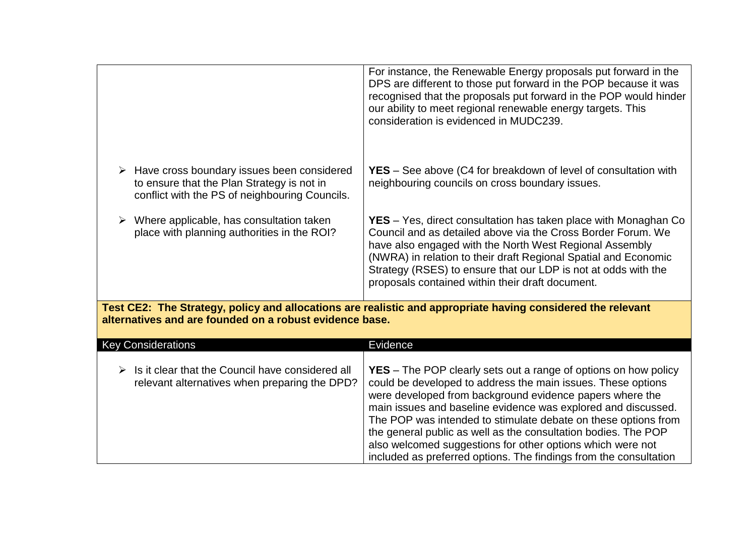|                                                                                                                                                                        | For instance, the Renewable Energy proposals put forward in the<br>DPS are different to those put forward in the POP because it was<br>recognised that the proposals put forward in the POP would hinder<br>our ability to meet regional renewable energy targets. This<br>consideration is evidenced in MUDC239.                                                                                                                                                                                                                          |  |
|------------------------------------------------------------------------------------------------------------------------------------------------------------------------|--------------------------------------------------------------------------------------------------------------------------------------------------------------------------------------------------------------------------------------------------------------------------------------------------------------------------------------------------------------------------------------------------------------------------------------------------------------------------------------------------------------------------------------------|--|
| $\triangleright$ Have cross boundary issues been considered<br>to ensure that the Plan Strategy is not in<br>conflict with the PS of neighbouring Councils.            | <b>YES</b> – See above (C4 for breakdown of level of consultation with<br>neighbouring councils on cross boundary issues.                                                                                                                                                                                                                                                                                                                                                                                                                  |  |
| Where applicable, has consultation taken<br>➤<br>place with planning authorities in the ROI?                                                                           | <b>YES</b> – Yes, direct consultation has taken place with Monaghan Co<br>Council and as detailed above via the Cross Border Forum. We<br>have also engaged with the North West Regional Assembly<br>(NWRA) in relation to their draft Regional Spatial and Economic<br>Strategy (RSES) to ensure that our LDP is not at odds with the<br>proposals contained within their draft document.                                                                                                                                                 |  |
| Test CE2: The Strategy, policy and allocations are realistic and appropriate having considered the relevant<br>alternatives and are founded on a robust evidence base. |                                                                                                                                                                                                                                                                                                                                                                                                                                                                                                                                            |  |
| <b>Key Considerations</b>                                                                                                                                              | Evidence                                                                                                                                                                                                                                                                                                                                                                                                                                                                                                                                   |  |
| Is it clear that the Council have considered all<br>➤<br>relevant alternatives when preparing the DPD?                                                                 | <b>YES</b> – The POP clearly sets out a range of options on how policy<br>could be developed to address the main issues. These options<br>were developed from background evidence papers where the<br>main issues and baseline evidence was explored and discussed.<br>The POP was intended to stimulate debate on these options from<br>the general public as well as the consultation bodies. The POP<br>also welcomed suggestions for other options which were not<br>included as preferred options. The findings from the consultation |  |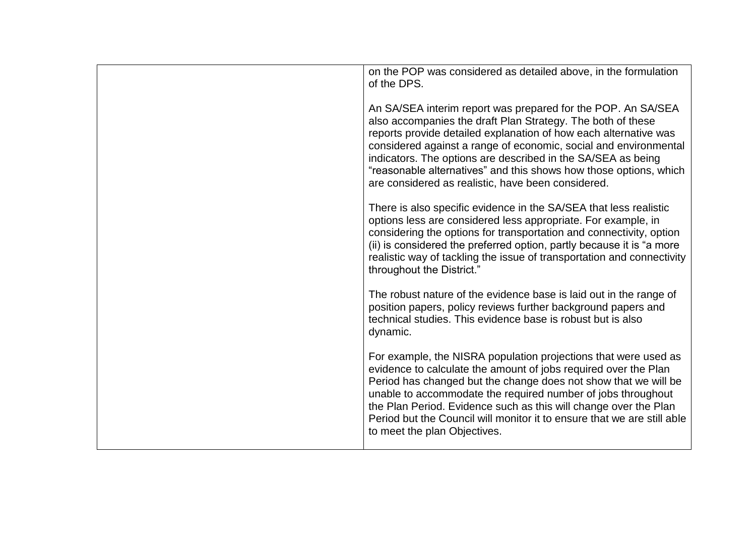| on the POP was considered as detailed above, in the formulation<br>of the DPS.                                                                                                                                                                                                                                                                                                                                                                                 |
|----------------------------------------------------------------------------------------------------------------------------------------------------------------------------------------------------------------------------------------------------------------------------------------------------------------------------------------------------------------------------------------------------------------------------------------------------------------|
| An SA/SEA interim report was prepared for the POP. An SA/SEA<br>also accompanies the draft Plan Strategy. The both of these<br>reports provide detailed explanation of how each alternative was<br>considered against a range of economic, social and environmental<br>indicators. The options are described in the SA/SEA as being<br>"reasonable alternatives" and this shows how those options, which<br>are considered as realistic, have been considered. |
| There is also specific evidence in the SA/SEA that less realistic<br>options less are considered less appropriate. For example, in<br>considering the options for transportation and connectivity, option<br>(ii) is considered the preferred option, partly because it is "a more<br>realistic way of tackling the issue of transportation and connectivity<br>throughout the District."                                                                      |
| The robust nature of the evidence base is laid out in the range of<br>position papers, policy reviews further background papers and<br>technical studies. This evidence base is robust but is also<br>dynamic.                                                                                                                                                                                                                                                 |
| For example, the NISRA population projections that were used as<br>evidence to calculate the amount of jobs required over the Plan<br>Period has changed but the change does not show that we will be<br>unable to accommodate the required number of jobs throughout<br>the Plan Period. Evidence such as this will change over the Plan<br>Period but the Council will monitor it to ensure that we are still able<br>to meet the plan Objectives.           |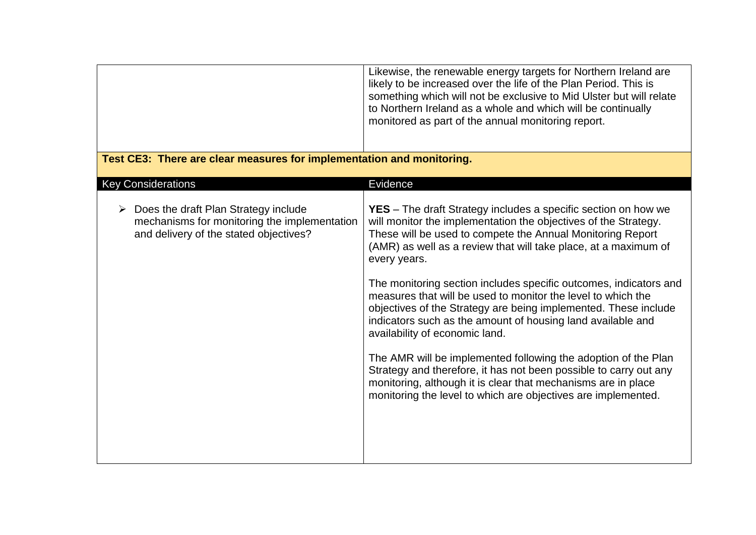|                                                                                                                                | Likewise, the renewable energy targets for Northern Ireland are<br>likely to be increased over the life of the Plan Period. This is<br>something which will not be exclusive to Mid Ulster but will relate<br>to Northern Ireland as a whole and which will be continually<br>monitored as part of the annual monitoring report.                                                                                                                                                                                                                                                                                                                                                                                                                                                                                                                                            |
|--------------------------------------------------------------------------------------------------------------------------------|-----------------------------------------------------------------------------------------------------------------------------------------------------------------------------------------------------------------------------------------------------------------------------------------------------------------------------------------------------------------------------------------------------------------------------------------------------------------------------------------------------------------------------------------------------------------------------------------------------------------------------------------------------------------------------------------------------------------------------------------------------------------------------------------------------------------------------------------------------------------------------|
| Test CE3: There are clear measures for implementation and monitoring.                                                          |                                                                                                                                                                                                                                                                                                                                                                                                                                                                                                                                                                                                                                                                                                                                                                                                                                                                             |
| <b>Key Considerations</b>                                                                                                      | Evidence                                                                                                                                                                                                                                                                                                                                                                                                                                                                                                                                                                                                                                                                                                                                                                                                                                                                    |
| Does the draft Plan Strategy include<br>mechanisms for monitoring the implementation<br>and delivery of the stated objectives? | <b>YES</b> – The draft Strategy includes a specific section on how we<br>will monitor the implementation the objectives of the Strategy.<br>These will be used to compete the Annual Monitoring Report<br>(AMR) as well as a review that will take place, at a maximum of<br>every years.<br>The monitoring section includes specific outcomes, indicators and<br>measures that will be used to monitor the level to which the<br>objectives of the Strategy are being implemented. These include<br>indicators such as the amount of housing land available and<br>availability of economic land.<br>The AMR will be implemented following the adoption of the Plan<br>Strategy and therefore, it has not been possible to carry out any<br>monitoring, although it is clear that mechanisms are in place<br>monitoring the level to which are objectives are implemented. |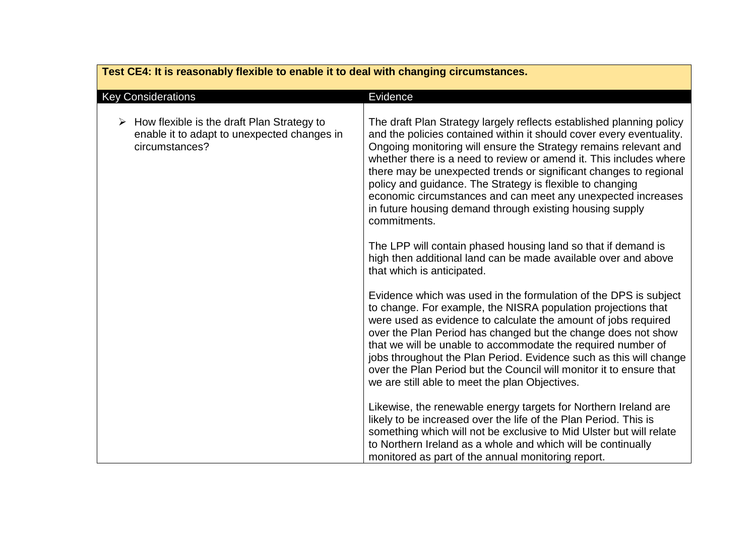| Test CE4: It is reasonably flexible to enable it to deal with changing circumstances.                            |                                                                                                                                                                                                                                                                                                                                                                                                                                                                                                                                                                      |
|------------------------------------------------------------------------------------------------------------------|----------------------------------------------------------------------------------------------------------------------------------------------------------------------------------------------------------------------------------------------------------------------------------------------------------------------------------------------------------------------------------------------------------------------------------------------------------------------------------------------------------------------------------------------------------------------|
| <b>Key Considerations</b>                                                                                        | Evidence                                                                                                                                                                                                                                                                                                                                                                                                                                                                                                                                                             |
| How flexible is the draft Plan Strategy to<br>➤<br>enable it to adapt to unexpected changes in<br>circumstances? | The draft Plan Strategy largely reflects established planning policy<br>and the policies contained within it should cover every eventuality.<br>Ongoing monitoring will ensure the Strategy remains relevant and<br>whether there is a need to review or amend it. This includes where<br>there may be unexpected trends or significant changes to regional<br>policy and guidance. The Strategy is flexible to changing<br>economic circumstances and can meet any unexpected increases<br>in future housing demand through existing housing supply<br>commitments. |
|                                                                                                                  | The LPP will contain phased housing land so that if demand is<br>high then additional land can be made available over and above<br>that which is anticipated.                                                                                                                                                                                                                                                                                                                                                                                                        |
|                                                                                                                  | Evidence which was used in the formulation of the DPS is subject<br>to change. For example, the NISRA population projections that<br>were used as evidence to calculate the amount of jobs required<br>over the Plan Period has changed but the change does not show<br>that we will be unable to accommodate the required number of<br>jobs throughout the Plan Period. Evidence such as this will change<br>over the Plan Period but the Council will monitor it to ensure that<br>we are still able to meet the plan Objectives.                                  |
|                                                                                                                  | Likewise, the renewable energy targets for Northern Ireland are<br>likely to be increased over the life of the Plan Period. This is<br>something which will not be exclusive to Mid Ulster but will relate<br>to Northern Ireland as a whole and which will be continually<br>monitored as part of the annual monitoring report.                                                                                                                                                                                                                                     |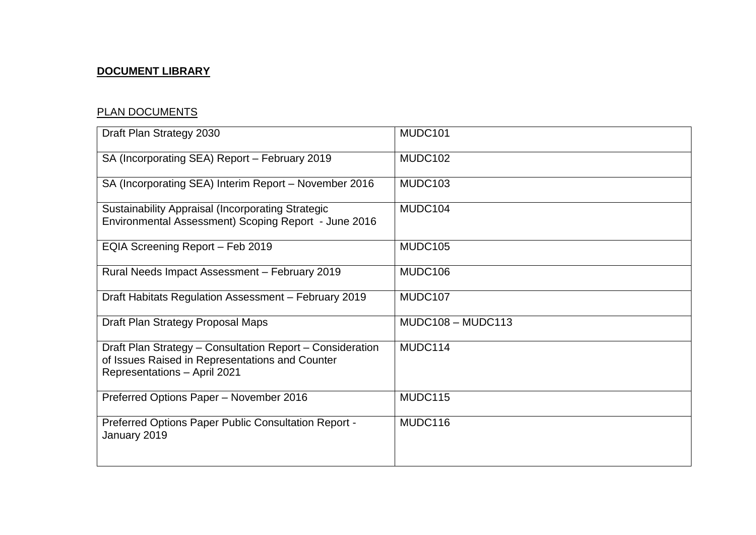# **DOCUMENT LIBRARY**

# PLAN DOCUMENTS

| Draft Plan Strategy 2030                                                                                                                     | MUDC101             |
|----------------------------------------------------------------------------------------------------------------------------------------------|---------------------|
| SA (Incorporating SEA) Report - February 2019                                                                                                | MUDC102             |
| SA (Incorporating SEA) Interim Report - November 2016                                                                                        | MUDC103             |
| <b>Sustainability Appraisal (Incorporating Strategic</b><br>Environmental Assessment) Scoping Report - June 2016                             | MUDC104             |
| EQIA Screening Report - Feb 2019                                                                                                             | MUDC105             |
| Rural Needs Impact Assessment - February 2019                                                                                                | MUDC106             |
| Draft Habitats Regulation Assessment - February 2019                                                                                         | MUDC107             |
| Draft Plan Strategy Proposal Maps                                                                                                            | $MUDC108 - MUDC113$ |
| Draft Plan Strategy - Consultation Report - Consideration<br>of Issues Raised in Representations and Counter<br>Representations - April 2021 | MUDC114             |
| Preferred Options Paper - November 2016                                                                                                      | MUDC115             |
| Preferred Options Paper Public Consultation Report -<br>January 2019                                                                         | MUDC116             |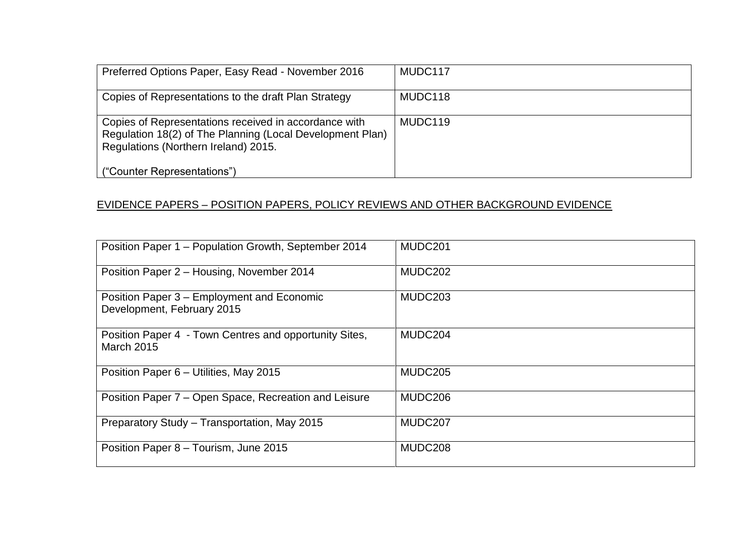| Preferred Options Paper, Easy Read - November 2016                                                                                                         | MUDC117 |
|------------------------------------------------------------------------------------------------------------------------------------------------------------|---------|
| Copies of Representations to the draft Plan Strategy                                                                                                       | MUDC118 |
| Copies of Representations received in accordance with<br>Regulation 18(2) of The Planning (Local Development Plan)<br>Regulations (Northern Ireland) 2015. | MUDC119 |
| ("Counter Representations")                                                                                                                                |         |

## EVIDENCE PAPERS – POSITION PAPERS, POLICY REVIEWS AND OTHER BACKGROUND EVIDENCE

| Position Paper 1 - Population Growth, September 2014                        | MUDC <sub>201</sub> |
|-----------------------------------------------------------------------------|---------------------|
| Position Paper 2 - Housing, November 2014                                   | MUDC202             |
| Position Paper 3 – Employment and Economic<br>Development, February 2015    | MUDC <sub>203</sub> |
| Position Paper 4 - Town Centres and opportunity Sites,<br><b>March 2015</b> | MUDC <sub>204</sub> |
| Position Paper 6 - Utilities, May 2015                                      | MUDC205             |
| Position Paper 7 – Open Space, Recreation and Leisure                       | MUDC206             |
| Preparatory Study - Transportation, May 2015                                | MUDC207             |
| Position Paper 8 - Tourism, June 2015                                       | MUDC <sub>208</sub> |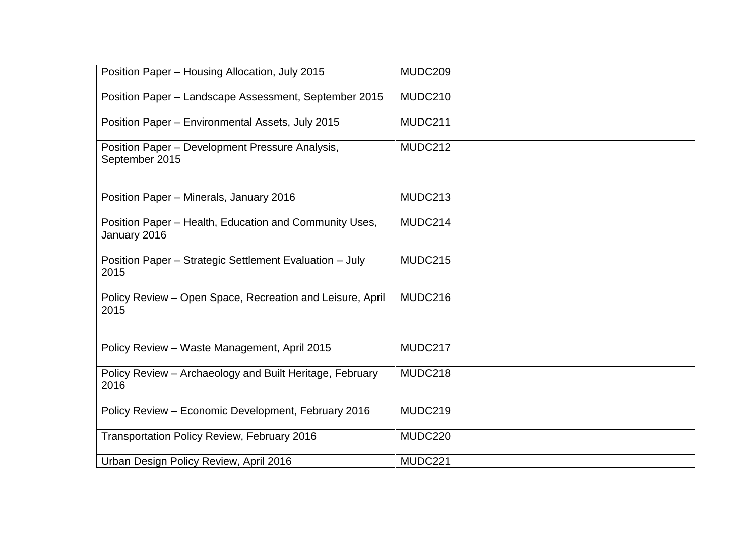| Position Paper - Housing Allocation, July 2015                         | MUDC209 |
|------------------------------------------------------------------------|---------|
| Position Paper - Landscape Assessment, September 2015                  | MUDC210 |
| Position Paper - Environmental Assets, July 2015                       | MUDC211 |
| Position Paper - Development Pressure Analysis,<br>September 2015      | MUDC212 |
| Position Paper - Minerals, January 2016                                | MUDC213 |
| Position Paper - Health, Education and Community Uses,<br>January 2016 | MUDC214 |
| Position Paper - Strategic Settlement Evaluation - July<br>2015        | MUDC215 |
| Policy Review - Open Space, Recreation and Leisure, April<br>2015      | MUDC216 |
| Policy Review - Waste Management, April 2015                           | MUDC217 |
| Policy Review - Archaeology and Built Heritage, February<br>2016       | MUDC218 |
| Policy Review - Economic Development, February 2016                    | MUDC219 |
| <b>Transportation Policy Review, February 2016</b>                     | MUDC220 |
| Urban Design Policy Review, April 2016                                 | MUDC221 |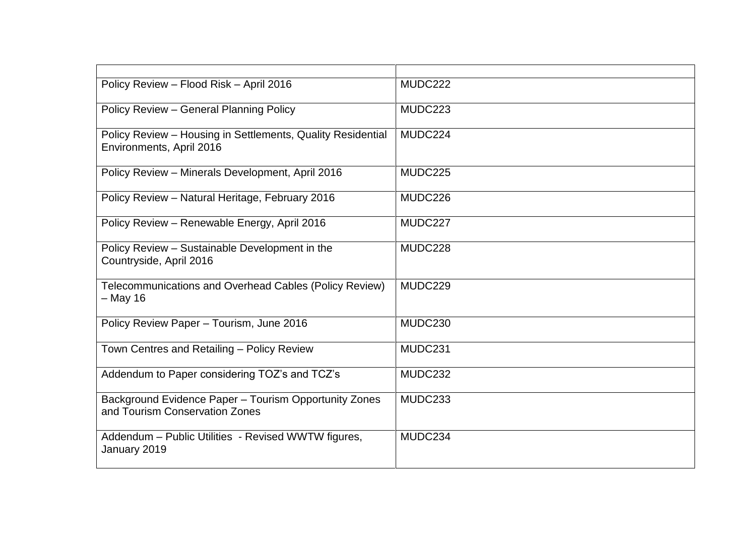| Policy Review - Flood Risk - April 2016                                                 | MUDC222 |
|-----------------------------------------------------------------------------------------|---------|
| Policy Review - General Planning Policy                                                 | MUDC223 |
| Policy Review - Housing in Settlements, Quality Residential<br>Environments, April 2016 | MUDC224 |
| Policy Review - Minerals Development, April 2016                                        | MUDC225 |
| Policy Review - Natural Heritage, February 2016                                         | MUDC226 |
| Policy Review - Renewable Energy, April 2016                                            | MUDC227 |
| Policy Review - Sustainable Development in the<br>Countryside, April 2016               | MUDC228 |
| Telecommunications and Overhead Cables (Policy Review)<br>- May 16                      | MUDC229 |
| Policy Review Paper - Tourism, June 2016                                                | MUDC230 |
| Town Centres and Retailing - Policy Review                                              | MUDC231 |
| Addendum to Paper considering TOZ's and TCZ's                                           | MUDC232 |
| Background Evidence Paper - Tourism Opportunity Zones<br>and Tourism Conservation Zones | MUDC233 |
| Addendum - Public Utilities - Revised WWTW figures,<br>January 2019                     | MUDC234 |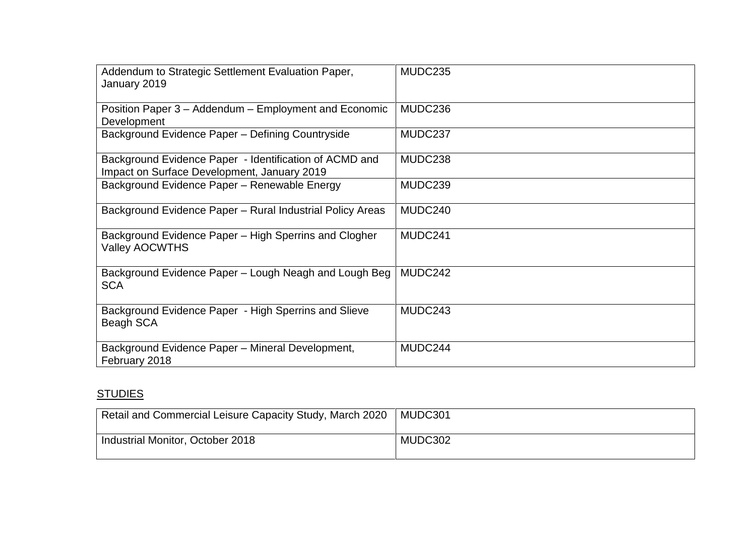| Addendum to Strategic Settlement Evaluation Paper,<br>January 2019                                    | MUDC235 |
|-------------------------------------------------------------------------------------------------------|---------|
| Position Paper 3 – Addendum – Employment and Economic<br>Development                                  | MUDC236 |
| Background Evidence Paper - Defining Countryside                                                      | MUDC237 |
| Background Evidence Paper - Identification of ACMD and<br>Impact on Surface Development, January 2019 | MUDC238 |
| Background Evidence Paper - Renewable Energy                                                          | MUDC239 |
| Background Evidence Paper - Rural Industrial Policy Areas                                             | MUDC240 |
| Background Evidence Paper - High Sperrins and Clogher<br><b>Valley AOCWTHS</b>                        | MUDC241 |
| Background Evidence Paper – Lough Neagh and Lough Beg<br><b>SCA</b>                                   | MUDC242 |
| Background Evidence Paper - High Sperrins and Slieve<br>Beagh SCA                                     | MUDC243 |
| Background Evidence Paper - Mineral Development,<br>February 2018                                     | MUDC244 |

# **STUDIES**

| Retail and Commercial Leisure Capacity Study, March 2020 | MUDC301 |
|----------------------------------------------------------|---------|
| Industrial Monitor, October 2018                         | MUDC302 |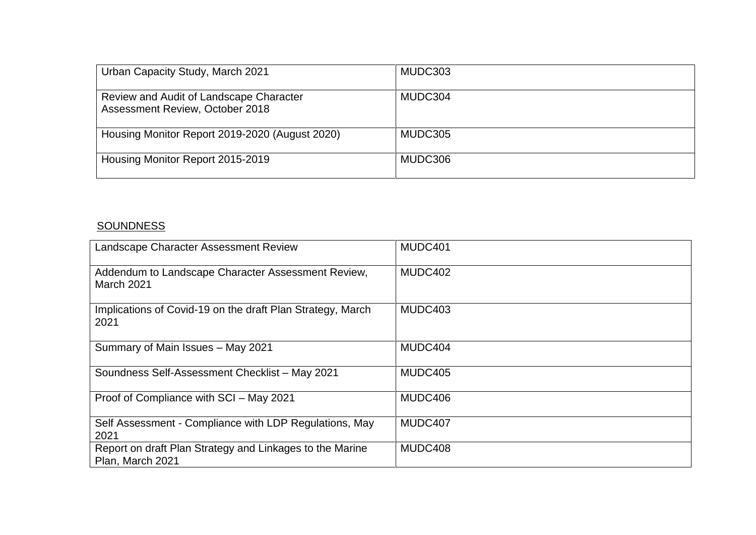| Urban Capacity Study, March 2021                                           | MUDC303 |
|----------------------------------------------------------------------------|---------|
| Review and Audit of Landscape Character<br>Assessment Review, October 2018 | MUDC304 |
| Housing Monitor Report 2019-2020 (August 2020)                             | MUDC305 |
| Housing Monitor Report 2015-2019                                           | MUDC306 |

## **SOUNDNESS**

| Landscape Character Assessment Review                                        | MUDC401 |
|------------------------------------------------------------------------------|---------|
| Addendum to Landscape Character Assessment Review,<br><b>March 2021</b>      | MUDC402 |
| Implications of Covid-19 on the draft Plan Strategy, March<br>2021           | MUDC403 |
| Summary of Main Issues - May 2021                                            | MUDC404 |
| Soundness Self-Assessment Checklist - May 2021                               | MUDC405 |
| Proof of Compliance with SCI - May 2021                                      | MUDC406 |
| Self Assessment - Compliance with LDP Regulations, May<br>2021               | MUDC407 |
| Report on draft Plan Strategy and Linkages to the Marine<br>Plan, March 2021 | MUDC408 |